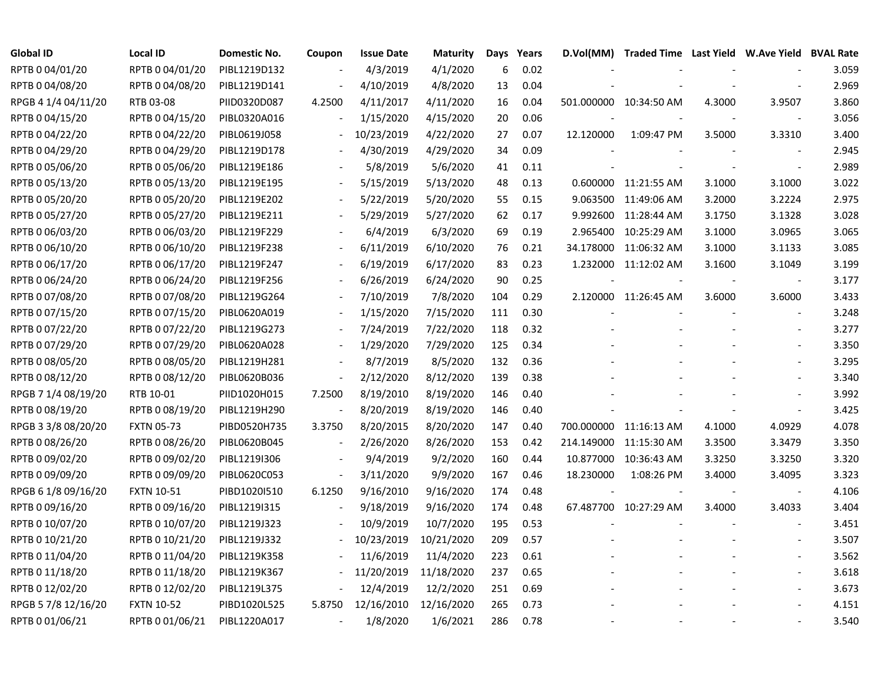| Global ID           | <b>Local ID</b>   | Domestic No. | Coupon                   | <b>Issue Date</b> | <b>Maturity</b> | Days | Years | D.Vol(MM) | Traded Time Last Yield W.Ave Yield BVAL Rate |        |                          |       |
|---------------------|-------------------|--------------|--------------------------|-------------------|-----------------|------|-------|-----------|----------------------------------------------|--------|--------------------------|-------|
| RPTB 0 04/01/20     | RPTB 0 04/01/20   | PIBL1219D132 |                          | 4/3/2019          | 4/1/2020        | 6    | 0.02  |           |                                              |        |                          | 3.059 |
| RPTB 0 04/08/20     | RPTB 0 04/08/20   | PIBL1219D141 |                          | 4/10/2019         | 4/8/2020        | 13   | 0.04  |           |                                              |        |                          | 2.969 |
| RPGB 4 1/4 04/11/20 | RTB 03-08         | PIID0320D087 | 4.2500                   | 4/11/2017         | 4/11/2020       | 16   | 0.04  |           | 501.000000 10:34:50 AM                       | 4.3000 | 3.9507                   | 3.860 |
| RPTB 0 04/15/20     | RPTB 0 04/15/20   | PIBL0320A016 |                          | 1/15/2020         | 4/15/2020       | 20   | 0.06  |           |                                              |        | $\overline{\phantom{a}}$ | 3.056 |
| RPTB 0 04/22/20     | RPTB 0 04/22/20   | PIBL0619J058 | $\overline{\phantom{a}}$ | 10/23/2019        | 4/22/2020       | 27   | 0.07  | 12.120000 | 1:09:47 PM                                   | 3.5000 | 3.3310                   | 3.400 |
| RPTB 0 04/29/20     | RPTB 0 04/29/20   | PIBL1219D178 | $\blacksquare$           | 4/30/2019         | 4/29/2020       | 34   | 0.09  |           |                                              |        | $\sim$                   | 2.945 |
| RPTB 0 05/06/20     | RPTB 0 05/06/20   | PIBL1219E186 |                          | 5/8/2019          | 5/6/2020        | 41   | 0.11  |           |                                              |        |                          | 2.989 |
| RPTB 0 05/13/20     | RPTB 0 05/13/20   | PIBL1219E195 |                          | 5/15/2019         | 5/13/2020       | 48   | 0.13  |           | 0.600000 11:21:55 AM                         | 3.1000 | 3.1000                   | 3.022 |
| RPTB 0 05/20/20     | RPTB 0 05/20/20   | PIBL1219E202 |                          | 5/22/2019         | 5/20/2020       | 55   | 0.15  |           | 9.063500 11:49:06 AM                         | 3.2000 | 3.2224                   | 2.975 |
| RPTB 0 05/27/20     | RPTB 0 05/27/20   | PIBL1219E211 |                          | 5/29/2019         | 5/27/2020       | 62   | 0.17  |           | 9.992600 11:28:44 AM                         | 3.1750 | 3.1328                   | 3.028 |
| RPTB 0 06/03/20     | RPTB 0 06/03/20   | PIBL1219F229 |                          | 6/4/2019          | 6/3/2020        | 69   | 0.19  | 2.965400  | 10:25:29 AM                                  | 3.1000 | 3.0965                   | 3.065 |
| RPTB 0 06/10/20     | RPTB 0 06/10/20   | PIBL1219F238 |                          | 6/11/2019         | 6/10/2020       | 76   | 0.21  |           | 34.178000 11:06:32 AM                        | 3.1000 | 3.1133                   | 3.085 |
| RPTB 0 06/17/20     | RPTB 0 06/17/20   | PIBL1219F247 |                          | 6/19/2019         | 6/17/2020       | 83   | 0.23  |           | 1.232000 11:12:02 AM                         | 3.1600 | 3.1049                   | 3.199 |
| RPTB 0 06/24/20     | RPTB 0 06/24/20   | PIBL1219F256 |                          | 6/26/2019         | 6/24/2020       | 90   | 0.25  |           |                                              |        | $\overline{\phantom{a}}$ | 3.177 |
| RPTB 0 07/08/20     | RPTB 0 07/08/20   | PIBL1219G264 |                          | 7/10/2019         | 7/8/2020        | 104  | 0.29  |           | 2.120000 11:26:45 AM                         | 3.6000 | 3.6000                   | 3.433 |
| RPTB 0 07/15/20     | RPTB 0 07/15/20   | PIBL0620A019 |                          | 1/15/2020         | 7/15/2020       | 111  | 0.30  |           |                                              |        |                          | 3.248 |
| RPTB 0 07/22/20     | RPTB 0 07/22/20   | PIBL1219G273 |                          | 7/24/2019         | 7/22/2020       | 118  | 0.32  |           |                                              |        |                          | 3.277 |
| RPTB 0 07/29/20     | RPTB 0 07/29/20   | PIBL0620A028 | $\overline{\phantom{a}}$ | 1/29/2020         | 7/29/2020       | 125  | 0.34  |           |                                              |        |                          | 3.350 |
| RPTB 0 08/05/20     | RPTB 0 08/05/20   | PIBL1219H281 | $\overline{\phantom{a}}$ | 8/7/2019          | 8/5/2020        | 132  | 0.36  |           |                                              |        |                          | 3.295 |
| RPTB 0 08/12/20     | RPTB 0 08/12/20   | PIBL0620B036 | $\blacksquare$           | 2/12/2020         | 8/12/2020       | 139  | 0.38  |           |                                              |        |                          | 3.340 |
| RPGB 7 1/4 08/19/20 | RTB 10-01         | PIID1020H015 | 7.2500                   | 8/19/2010         | 8/19/2020       | 146  | 0.40  |           |                                              |        |                          | 3.992 |
| RPTB 0 08/19/20     | RPTB 0 08/19/20   | PIBL1219H290 | $\frac{1}{2}$            | 8/20/2019         | 8/19/2020       | 146  | 0.40  |           |                                              |        | $\sim$                   | 3.425 |
| RPGB 3 3/8 08/20/20 | <b>FXTN 05-73</b> | PIBD0520H735 | 3.3750                   | 8/20/2015         | 8/20/2020       | 147  | 0.40  |           | 700.000000 11:16:13 AM                       | 4.1000 | 4.0929                   | 4.078 |
| RPTB 0 08/26/20     | RPTB 0 08/26/20   | PIBL0620B045 | $\overline{\phantom{a}}$ | 2/26/2020         | 8/26/2020       | 153  | 0.42  |           | 214.149000 11:15:30 AM                       | 3.3500 | 3.3479                   | 3.350 |
| RPTB 0 09/02/20     | RPTB 0 09/02/20   | PIBL1219I306 | $\overline{\phantom{a}}$ | 9/4/2019          | 9/2/2020        | 160  | 0.44  |           | 10.877000 10:36:43 AM                        | 3.3250 | 3.3250                   | 3.320 |
| RPTB 0 09/09/20     | RPTB 0 09/09/20   | PIBL0620C053 | $\overline{\phantom{a}}$ | 3/11/2020         | 9/9/2020        | 167  | 0.46  | 18.230000 | 1:08:26 PM                                   | 3.4000 | 3.4095                   | 3.323 |
| RPGB 6 1/8 09/16/20 | <b>FXTN 10-51</b> | PIBD1020I510 | 6.1250                   | 9/16/2010         | 9/16/2020       | 174  | 0.48  |           |                                              |        | $\blacksquare$           | 4.106 |
| RPTB 0 09/16/20     | RPTB 0 09/16/20   | PIBL1219I315 |                          | 9/18/2019         | 9/16/2020       | 174  | 0.48  |           | 67.487700 10:27:29 AM                        | 3.4000 | 3.4033                   | 3.404 |
| RPTB 0 10/07/20     | RPTB 0 10/07/20   | PIBL1219J323 |                          | 10/9/2019         | 10/7/2020       | 195  | 0.53  |           |                                              |        |                          | 3.451 |
| RPTB 0 10/21/20     | RPTB 0 10/21/20   | PIBL1219J332 |                          | 10/23/2019        | 10/21/2020      | 209  | 0.57  |           |                                              |        |                          | 3.507 |
| RPTB 0 11/04/20     | RPTB 0 11/04/20   | PIBL1219K358 |                          | 11/6/2019         | 11/4/2020       | 223  | 0.61  |           |                                              |        |                          | 3.562 |
| RPTB 0 11/18/20     | RPTB 0 11/18/20   | PIBL1219K367 | $\blacksquare$           | 11/20/2019        | 11/18/2020      | 237  | 0.65  |           |                                              |        | $\sim$                   | 3.618 |
| RPTB 0 12/02/20     | RPTB 0 12/02/20   | PIBL1219L375 | $\blacksquare$           | 12/4/2019         | 12/2/2020       | 251  | 0.69  |           |                                              |        |                          | 3.673 |
| RPGB 5 7/8 12/16/20 | <b>FXTN 10-52</b> | PIBD1020L525 | 5.8750                   | 12/16/2010        | 12/16/2020      | 265  | 0.73  |           |                                              |        |                          | 4.151 |
| RPTB 0 01/06/21     | RPTB 0 01/06/21   | PIBL1220A017 | $\blacksquare$           | 1/8/2020          | 1/6/2021        | 286  | 0.78  |           |                                              |        |                          | 3.540 |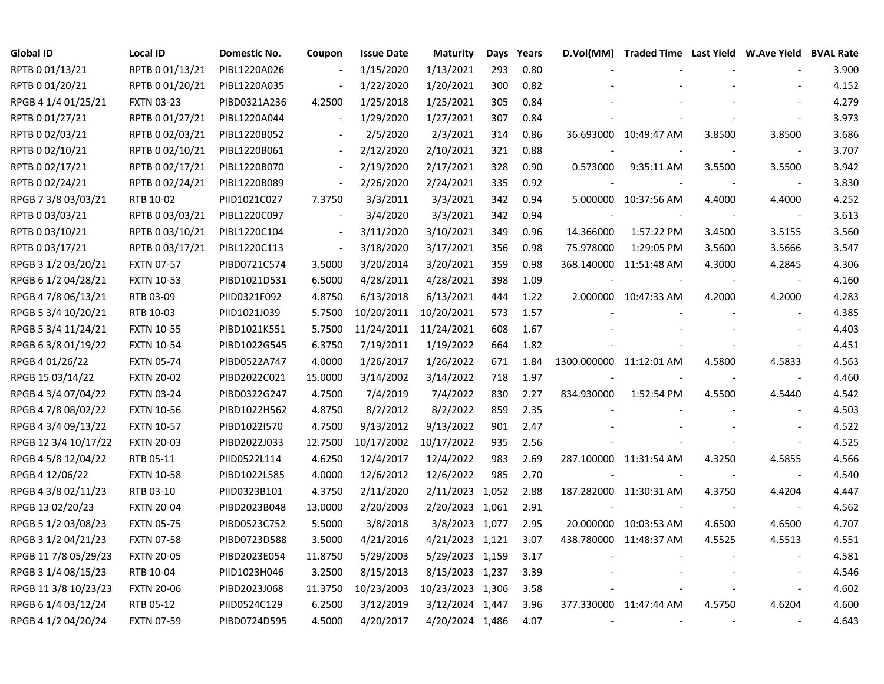| <b>Global ID</b>     | <b>Local ID</b>   | Domestic No. | Coupon                   | <b>Issue Date</b> | <b>Maturity</b>  | Days | Years | D.Vol(MM)                | Traded Time Last Yield W.Ave Yield BVAL Rate |        |        |       |
|----------------------|-------------------|--------------|--------------------------|-------------------|------------------|------|-------|--------------------------|----------------------------------------------|--------|--------|-------|
| RPTB 0 01/13/21      | RPTB 0 01/13/21   | PIBL1220A026 |                          | 1/15/2020         | 1/13/2021        | 293  | 0.80  |                          |                                              |        |        | 3.900 |
| RPTB 0 01/20/21      | RPTB 0 01/20/21   | PIBL1220A035 |                          | 1/22/2020         | 1/20/2021        | 300  | 0.82  |                          |                                              |        |        | 4.152 |
| RPGB 4 1/4 01/25/21  | <b>FXTN 03-23</b> | PIBD0321A236 | 4.2500                   | 1/25/2018         | 1/25/2021        | 305  | 0.84  |                          |                                              |        |        | 4.279 |
| RPTB 0 01/27/21      | RPTB 0 01/27/21   | PIBL1220A044 | $\overline{\phantom{a}}$ | 1/29/2020         | 1/27/2021        | 307  | 0.84  |                          |                                              |        |        | 3.973 |
| RPTB 0 02/03/21      | RPTB 0 02/03/21   | PIBL1220B052 |                          | 2/5/2020          | 2/3/2021         | 314  | 0.86  |                          | 36.693000 10:49:47 AM                        | 3.8500 | 3.8500 | 3.686 |
| RPTB 0 02/10/21      | RPTB 0 02/10/21   | PIBL1220B061 | $\overline{\phantom{a}}$ | 2/12/2020         | 2/10/2021        | 321  | 0.88  |                          |                                              |        |        | 3.707 |
| RPTB 0 02/17/21      | RPTB 0 02/17/21   | PIBL1220B070 | $\overline{\phantom{a}}$ | 2/19/2020         | 2/17/2021        | 328  | 0.90  | 0.573000                 | 9:35:11 AM                                   | 3.5500 | 3.5500 | 3.942 |
| RPTB 0 02/24/21      | RPTB 0 02/24/21   | PIBL1220B089 | $\blacksquare$           | 2/26/2020         | 2/24/2021        | 335  | 0.92  |                          |                                              |        |        | 3.830 |
| RPGB 7 3/8 03/03/21  | RTB 10-02         | PIID1021C027 | 7.3750                   | 3/3/2011          | 3/3/2021         | 342  | 0.94  |                          | 5.000000 10:37:56 AM                         | 4.4000 | 4.4000 | 4.252 |
| RPTB 0 03/03/21      | RPTB 0 03/03/21   | PIBL1220C097 | $\blacksquare$           | 3/4/2020          | 3/3/2021         | 342  | 0.94  |                          |                                              |        |        | 3.613 |
| RPTB 0 03/10/21      | RPTB 0 03/10/21   | PIBL1220C104 | $\overline{\phantom{a}}$ | 3/11/2020         | 3/10/2021        | 349  | 0.96  | 14.366000                | 1:57:22 PM                                   | 3.4500 | 3.5155 | 3.560 |
| RPTB 0 03/17/21      | RPTB 0 03/17/21   | PIBL1220C113 | $\overline{\phantom{a}}$ | 3/18/2020         | 3/17/2021        | 356  | 0.98  | 75.978000                | 1:29:05 PM                                   | 3.5600 | 3.5666 | 3.547 |
| RPGB 3 1/2 03/20/21  | <b>FXTN 07-57</b> | PIBD0721C574 | 3.5000                   | 3/20/2014         | 3/20/2021        | 359  | 0.98  |                          | 368.140000 11:51:48 AM                       | 4.3000 | 4.2845 | 4.306 |
| RPGB 6 1/2 04/28/21  | <b>FXTN 10-53</b> | PIBD1021D531 | 6.5000                   | 4/28/2011         | 4/28/2021        | 398  | 1.09  |                          |                                              |        |        | 4.160 |
| RPGB 4 7/8 06/13/21  | RTB 03-09         | PIID0321F092 | 4.8750                   | 6/13/2018         | 6/13/2021        | 444  | 1.22  |                          | 2.000000 10:47:33 AM                         | 4.2000 | 4.2000 | 4.283 |
| RPGB 5 3/4 10/20/21  | RTB 10-03         | PIID1021J039 | 5.7500                   | 10/20/2011        | 10/20/2021       | 573  | 1.57  |                          |                                              |        |        | 4.385 |
| RPGB 5 3/4 11/24/21  | <b>FXTN 10-55</b> | PIBD1021K551 | 5.7500                   | 11/24/2011        | 11/24/2021       | 608  | 1.67  |                          |                                              |        |        | 4.403 |
| RPGB 6 3/8 01/19/22  | <b>FXTN 10-54</b> | PIBD1022G545 | 6.3750                   | 7/19/2011         | 1/19/2022        | 664  | 1.82  |                          |                                              |        |        | 4.451 |
| RPGB 4 01/26/22      | <b>FXTN 05-74</b> | PIBD0522A747 | 4.0000                   | 1/26/2017         | 1/26/2022        | 671  | 1.84  | 1300.000000 11:12:01 AM  |                                              | 4.5800 | 4.5833 | 4.563 |
| RPGB 15 03/14/22     | <b>FXTN 20-02</b> | PIBD2022C021 | 15.0000                  | 3/14/2002         | 3/14/2022        | 718  | 1.97  |                          |                                              |        |        | 4.460 |
| RPGB 4 3/4 07/04/22  | <b>FXTN 03-24</b> | PIBD0322G247 | 4.7500                   | 7/4/2019          | 7/4/2022         | 830  | 2.27  | 834.930000               | 1:52:54 PM                                   | 4.5500 | 4.5440 | 4.542 |
| RPGB 4 7/8 08/02/22  | <b>FXTN 10-56</b> | PIBD1022H562 | 4.8750                   | 8/2/2012          | 8/2/2022         | 859  | 2.35  |                          |                                              |        |        | 4.503 |
| RPGB 4 3/4 09/13/22  | <b>FXTN 10-57</b> | PIBD1022I570 | 4.7500                   | 9/13/2012         | 9/13/2022        | 901  | 2.47  |                          |                                              |        |        | 4.522 |
| RPGB 12 3/4 10/17/22 | <b>FXTN 20-03</b> | PIBD2022J033 | 12.7500                  | 10/17/2002        | 10/17/2022       | 935  | 2.56  |                          |                                              |        |        | 4.525 |
| RPGB 4 5/8 12/04/22  | RTB 05-11         | PIID0522L114 | 4.6250                   | 12/4/2017         | 12/4/2022        | 983  | 2.69  |                          | 287.100000 11:31:54 AM                       | 4.3250 | 4.5855 | 4.566 |
| RPGB 4 12/06/22      | <b>FXTN 10-58</b> | PIBD1022L585 | 4.0000                   | 12/6/2012         | 12/6/2022        | 985  | 2.70  |                          |                                              |        |        | 4.540 |
| RPGB 4 3/8 02/11/23  | RTB 03-10         | PIID0323B101 | 4.3750                   | 2/11/2020         | 2/11/2023 1,052  |      | 2.88  |                          | 187.282000 11:30:31 AM                       | 4.3750 | 4.4204 | 4.447 |
| RPGB 13 02/20/23     | <b>FXTN 20-04</b> | PIBD2023B048 | 13.0000                  | 2/20/2003         | 2/20/2023 1,061  |      | 2.91  |                          |                                              |        |        | 4.562 |
| RPGB 5 1/2 03/08/23  | <b>FXTN 05-75</b> | PIBD0523C752 | 5.5000                   | 3/8/2018          | 3/8/2023 1,077   |      | 2.95  |                          | 20.000000 10:03:53 AM                        | 4.6500 | 4.6500 | 4.707 |
| RPGB 3 1/2 04/21/23  | <b>FXTN 07-58</b> | PIBD0723D588 | 3.5000                   | 4/21/2016         | 4/21/2023 1,121  |      | 3.07  |                          | 438.780000 11:48:37 AM                       | 4.5525 | 4.5513 | 4.551 |
| RPGB 11 7/8 05/29/23 | <b>FXTN 20-05</b> | PIBD2023E054 | 11.8750                  | 5/29/2003         | 5/29/2023 1,159  |      | 3.17  |                          |                                              |        |        | 4.581 |
| RPGB 3 1/4 08/15/23  | RTB 10-04         | PIID1023H046 | 3.2500                   | 8/15/2013         | 8/15/2023 1,237  |      | 3.39  |                          |                                              |        |        | 4.546 |
| RPGB 11 3/8 10/23/23 | <b>FXTN 20-06</b> | PIBD2023J068 | 11.3750                  | 10/23/2003        | 10/23/2023 1,306 |      | 3.58  |                          |                                              |        |        | 4.602 |
| RPGB 6 1/4 03/12/24  | RTB 05-12         | PIID0524C129 | 6.2500                   | 3/12/2019         | 3/12/2024 1,447  |      | 3.96  |                          | 377.330000 11:47:44 AM                       | 4.5750 | 4.6204 | 4.600 |
| RPGB 4 1/2 04/20/24  | <b>FXTN 07-59</b> | PIBD0724D595 | 4.5000                   | 4/20/2017         | 4/20/2024 1,486  |      | 4.07  | $\overline{\phantom{a}}$ |                                              |        |        | 4.643 |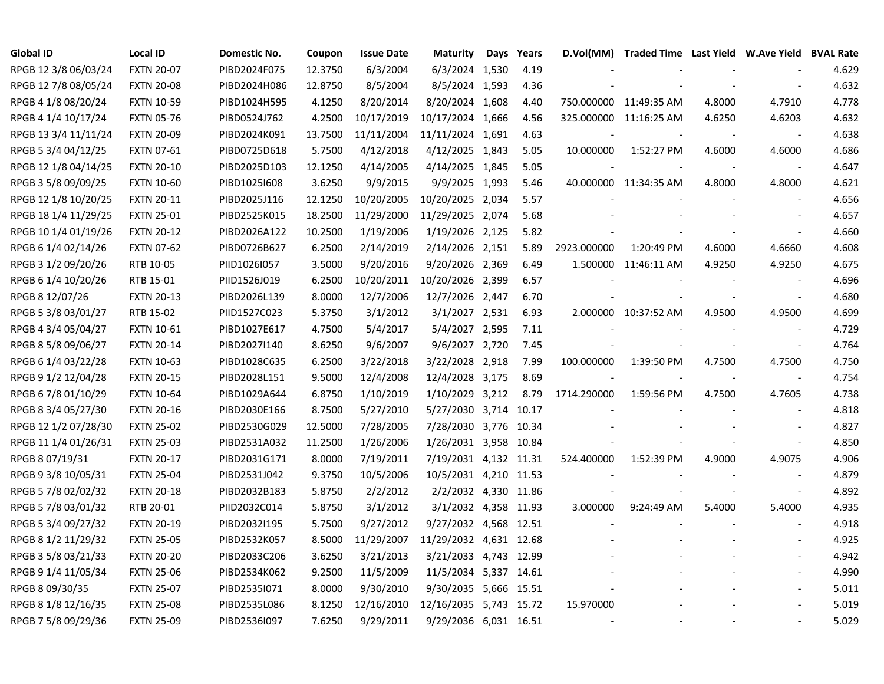| <b>Global ID</b>     | <b>Local ID</b>   | Domestic No. | Coupon  | <b>Issue Date</b> | <b>Maturity</b>        | Days | Years | D.Vol(MM)   | Traded Time Last Yield W.Ave Yield BVAL Rate |        |                          |       |
|----------------------|-------------------|--------------|---------|-------------------|------------------------|------|-------|-------------|----------------------------------------------|--------|--------------------------|-------|
| RPGB 12 3/8 06/03/24 | <b>FXTN 20-07</b> | PIBD2024F075 | 12.3750 | 6/3/2004          | 6/3/2024 1,530         |      | 4.19  |             |                                              |        |                          | 4.629 |
| RPGB 12 7/8 08/05/24 | <b>FXTN 20-08</b> | PIBD2024H086 | 12.8750 | 8/5/2004          | 8/5/2024 1,593         |      | 4.36  |             |                                              |        |                          | 4.632 |
| RPGB 4 1/8 08/20/24  | <b>FXTN 10-59</b> | PIBD1024H595 | 4.1250  | 8/20/2014         | 8/20/2024 1,608        |      | 4.40  |             | 750.000000 11:49:35 AM                       | 4.8000 | 4.7910                   | 4.778 |
| RPGB 4 1/4 10/17/24  | <b>FXTN 05-76</b> | PIBD0524J762 | 4.2500  | 10/17/2019        | 10/17/2024 1,666       |      | 4.56  |             | 325.000000 11:16:25 AM                       | 4.6250 | 4.6203                   | 4.632 |
| RPGB 13 3/4 11/11/24 | <b>FXTN 20-09</b> | PIBD2024K091 | 13.7500 | 11/11/2004        | 11/11/2024 1,691       |      | 4.63  |             |                                              |        | $\overline{\phantom{a}}$ | 4.638 |
| RPGB 5 3/4 04/12/25  | FXTN 07-61        | PIBD0725D618 | 5.7500  | 4/12/2018         | 4/12/2025 1,843        |      | 5.05  | 10.000000   | 1:52:27 PM                                   | 4.6000 | 4.6000                   | 4.686 |
| RPGB 12 1/8 04/14/25 | <b>FXTN 20-10</b> | PIBD2025D103 | 12.1250 | 4/14/2005         | 4/14/2025 1,845        |      | 5.05  |             |                                              |        |                          | 4.647 |
| RPGB 3 5/8 09/09/25  | <b>FXTN 10-60</b> | PIBD1025I608 | 3.6250  | 9/9/2015          | 9/9/2025 1,993         |      | 5.46  |             | 40.000000 11:34:35 AM                        | 4.8000 | 4.8000                   | 4.621 |
| RPGB 12 1/8 10/20/25 | <b>FXTN 20-11</b> | PIBD2025J116 | 12.1250 | 10/20/2005        | 10/20/2025 2,034       |      | 5.57  |             |                                              |        |                          | 4.656 |
| RPGB 18 1/4 11/29/25 | <b>FXTN 25-01</b> | PIBD2525K015 | 18.2500 | 11/29/2000        | 11/29/2025 2,074       |      | 5.68  |             |                                              |        |                          | 4.657 |
| RPGB 10 1/4 01/19/26 | <b>FXTN 20-12</b> | PIBD2026A122 | 10.2500 | 1/19/2006         | 1/19/2026 2,125        |      | 5.82  |             |                                              |        | $\blacksquare$           | 4.660 |
| RPGB 6 1/4 02/14/26  | <b>FXTN 07-62</b> | PIBD0726B627 | 6.2500  | 2/14/2019         | 2/14/2026 2,151        |      | 5.89  | 2923.000000 | 1:20:49 PM                                   | 4.6000 | 4.6660                   | 4.608 |
| RPGB 3 1/2 09/20/26  | RTB 10-05         | PIID1026I057 | 3.5000  | 9/20/2016         | 9/20/2026 2,369        |      | 6.49  |             | 1.500000 11:46:11 AM                         | 4.9250 | 4.9250                   | 4.675 |
| RPGB 6 1/4 10/20/26  | RTB 15-01         | PIID1526J019 | 6.2500  | 10/20/2011        | 10/20/2026 2,399       |      | 6.57  |             |                                              |        |                          | 4.696 |
| RPGB 8 12/07/26      | <b>FXTN 20-13</b> | PIBD2026L139 | 8.0000  | 12/7/2006         | 12/7/2026 2,447        |      | 6.70  |             |                                              |        |                          | 4.680 |
| RPGB 5 3/8 03/01/27  | RTB 15-02         | PIID1527C023 | 5.3750  | 3/1/2012          | 3/1/2027 2,531         |      | 6.93  |             | 2.000000 10:37:52 AM                         | 4.9500 | 4.9500                   | 4.699 |
| RPGB 4 3/4 05/04/27  | <b>FXTN 10-61</b> | PIBD1027E617 | 4.7500  | 5/4/2017          | 5/4/2027 2,595         |      | 7.11  |             |                                              |        |                          | 4.729 |
| RPGB 8 5/8 09/06/27  | <b>FXTN 20-14</b> | PIBD2027I140 | 8.6250  | 9/6/2007          | 9/6/2027 2,720         |      | 7.45  |             |                                              |        | $\sim$                   | 4.764 |
| RPGB 6 1/4 03/22/28  | <b>FXTN 10-63</b> | PIBD1028C635 | 6.2500  | 3/22/2018         | 3/22/2028 2,918        |      | 7.99  | 100.000000  | 1:39:50 PM                                   | 4.7500 | 4.7500                   | 4.750 |
| RPGB 9 1/2 12/04/28  | <b>FXTN 20-15</b> | PIBD2028L151 | 9.5000  | 12/4/2008         | 12/4/2028 3,175        |      | 8.69  |             |                                              |        | $\overline{\phantom{a}}$ | 4.754 |
| RPGB 6 7/8 01/10/29  | <b>FXTN 10-64</b> | PIBD1029A644 | 6.8750  | 1/10/2019         | 1/10/2029 3,212        |      | 8.79  | 1714.290000 | 1:59:56 PM                                   | 4.7500 | 4.7605                   | 4.738 |
| RPGB 8 3/4 05/27/30  | <b>FXTN 20-16</b> | PIBD2030E166 | 8.7500  | 5/27/2010         | 5/27/2030 3,714        |      | 10.17 |             |                                              |        | $\blacksquare$           | 4.818 |
| RPGB 12 1/2 07/28/30 | <b>FXTN 25-02</b> | PIBD2530G029 | 12.5000 | 7/28/2005         | 7/28/2030 3,776 10.34  |      |       |             |                                              |        |                          | 4.827 |
| RPGB 11 1/4 01/26/31 | <b>FXTN 25-03</b> | PIBD2531A032 | 11.2500 | 1/26/2006         | 1/26/2031 3,958 10.84  |      |       |             |                                              |        | $\overline{\phantom{a}}$ | 4.850 |
| RPGB 8 07/19/31      | <b>FXTN 20-17</b> | PIBD2031G171 | 8.0000  | 7/19/2011         | 7/19/2031 4,132 11.31  |      |       | 524.400000  | 1:52:39 PM                                   | 4.9000 | 4.9075                   | 4.906 |
| RPGB 9 3/8 10/05/31  | <b>FXTN 25-04</b> | PIBD2531J042 | 9.3750  | 10/5/2006         | 10/5/2031 4,210 11.53  |      |       |             |                                              |        |                          | 4.879 |
| RPGB 5 7/8 02/02/32  | <b>FXTN 20-18</b> | PIBD2032B183 | 5.8750  | 2/2/2012          | 2/2/2032 4,330 11.86   |      |       |             |                                              |        |                          | 4.892 |
| RPGB 5 7/8 03/01/32  | RTB 20-01         | PIID2032C014 | 5.8750  | 3/1/2012          | 3/1/2032 4,358 11.93   |      |       | 3.000000    | 9:24:49 AM                                   | 5.4000 | 5.4000                   | 4.935 |
| RPGB 5 3/4 09/27/32  | <b>FXTN 20-19</b> | PIBD2032I195 | 5.7500  | 9/27/2012         | 9/27/2032 4,568 12.51  |      |       |             |                                              |        |                          | 4.918 |
| RPGB 8 1/2 11/29/32  | <b>FXTN 25-05</b> | PIBD2532K057 | 8.5000  | 11/29/2007        | 11/29/2032 4,631 12.68 |      |       |             |                                              |        |                          | 4.925 |
| RPGB 3 5/8 03/21/33  | <b>FXTN 20-20</b> | PIBD2033C206 | 3.6250  | 3/21/2013         | 3/21/2033 4,743 12.99  |      |       |             |                                              |        |                          | 4.942 |
| RPGB 9 1/4 11/05/34  | <b>FXTN 25-06</b> | PIBD2534K062 | 9.2500  | 11/5/2009         | 11/5/2034 5,337 14.61  |      |       |             |                                              |        | $\overline{\phantom{a}}$ | 4.990 |
| RPGB 8 09/30/35      | <b>FXTN 25-07</b> | PIBD2535I071 | 8.0000  | 9/30/2010         | 9/30/2035 5,666 15.51  |      |       |             |                                              |        |                          | 5.011 |
| RPGB 8 1/8 12/16/35  | <b>FXTN 25-08</b> | PIBD2535L086 | 8.1250  | 12/16/2010        | 12/16/2035 5,743 15.72 |      |       | 15.970000   |                                              |        |                          | 5.019 |
| RPGB 7 5/8 09/29/36  | <b>FXTN 25-09</b> | PIBD2536I097 | 7.6250  | 9/29/2011         | 9/29/2036 6,031 16.51  |      |       |             |                                              |        |                          | 5.029 |